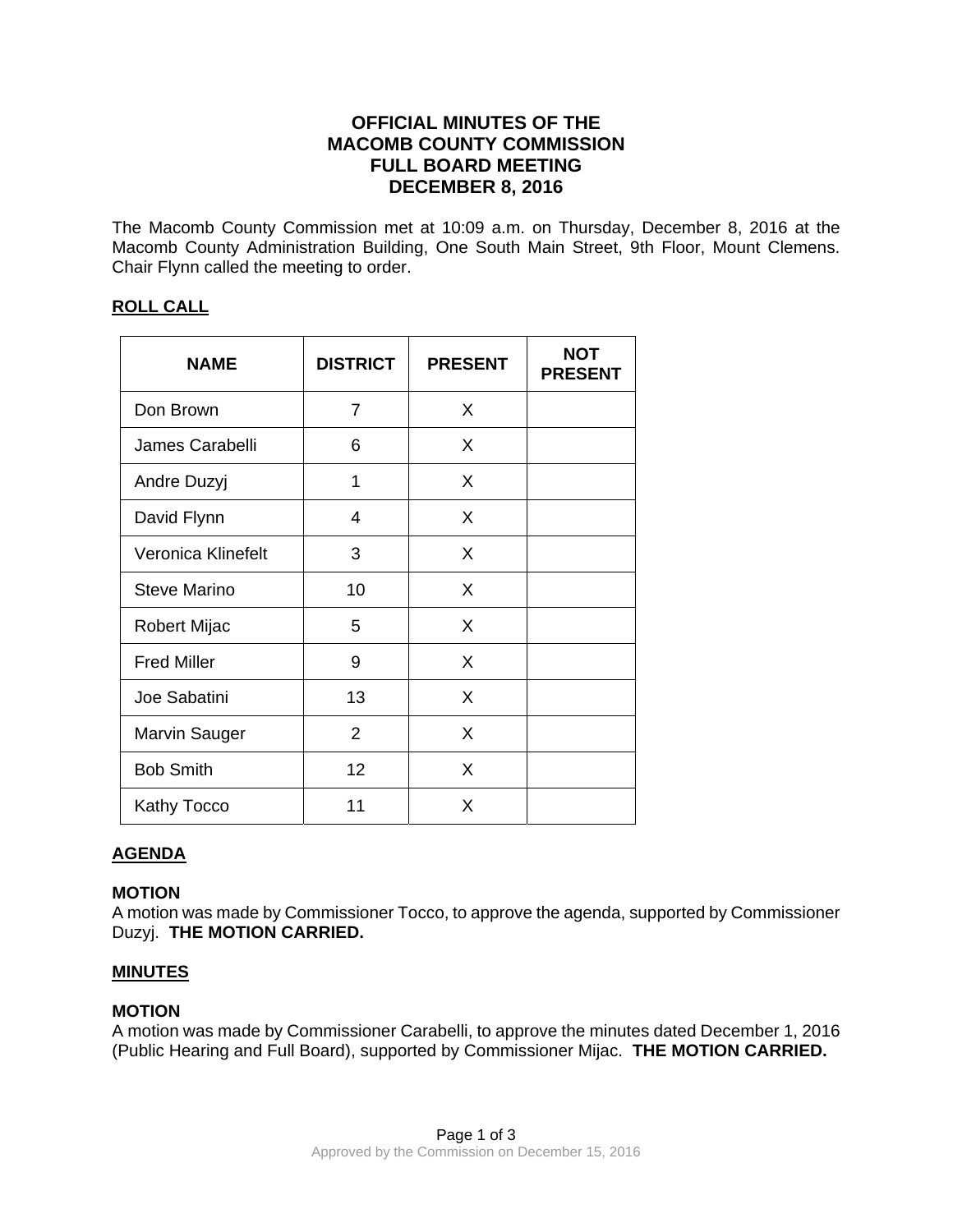# **OFFICIAL MINUTES OF THE MACOMB COUNTY COMMISSION FULL BOARD MEETING DECEMBER 8, 2016**

The Macomb County Commission met at 10:09 a.m. on Thursday, December 8, 2016 at the Macomb County Administration Building, One South Main Street, 9th Floor, Mount Clemens. Chair Flynn called the meeting to order.

# **ROLL CALL**

| <b>NAME</b>          | <b>DISTRICT</b> | <b>PRESENT</b> | <b>NOT</b><br><b>PRESENT</b> |
|----------------------|-----------------|----------------|------------------------------|
| Don Brown            | 7               | X              |                              |
| James Carabelli      | 6               | X              |                              |
| Andre Duzyj          | 1               | X              |                              |
| David Flynn          | 4               | X              |                              |
| Veronica Klinefelt   | 3               | X              |                              |
| <b>Steve Marino</b>  | 10              | X              |                              |
| Robert Mijac         | 5               | X              |                              |
| <b>Fred Miller</b>   | 9               | X              |                              |
| Joe Sabatini         | 13              | X              |                              |
| <b>Marvin Sauger</b> | $\overline{2}$  | X              |                              |
| <b>Bob Smith</b>     | 12              | X              |                              |
| Kathy Tocco          | 11              | X              |                              |

# **AGENDA**

## **MOTION**

A motion was made by Commissioner Tocco, to approve the agenda, supported by Commissioner Duzyj. **THE MOTION CARRIED.** 

## **MINUTES**

## **MOTION**

A motion was made by Commissioner Carabelli, to approve the minutes dated December 1, 2016 (Public Hearing and Full Board), supported by Commissioner Mijac. **THE MOTION CARRIED.**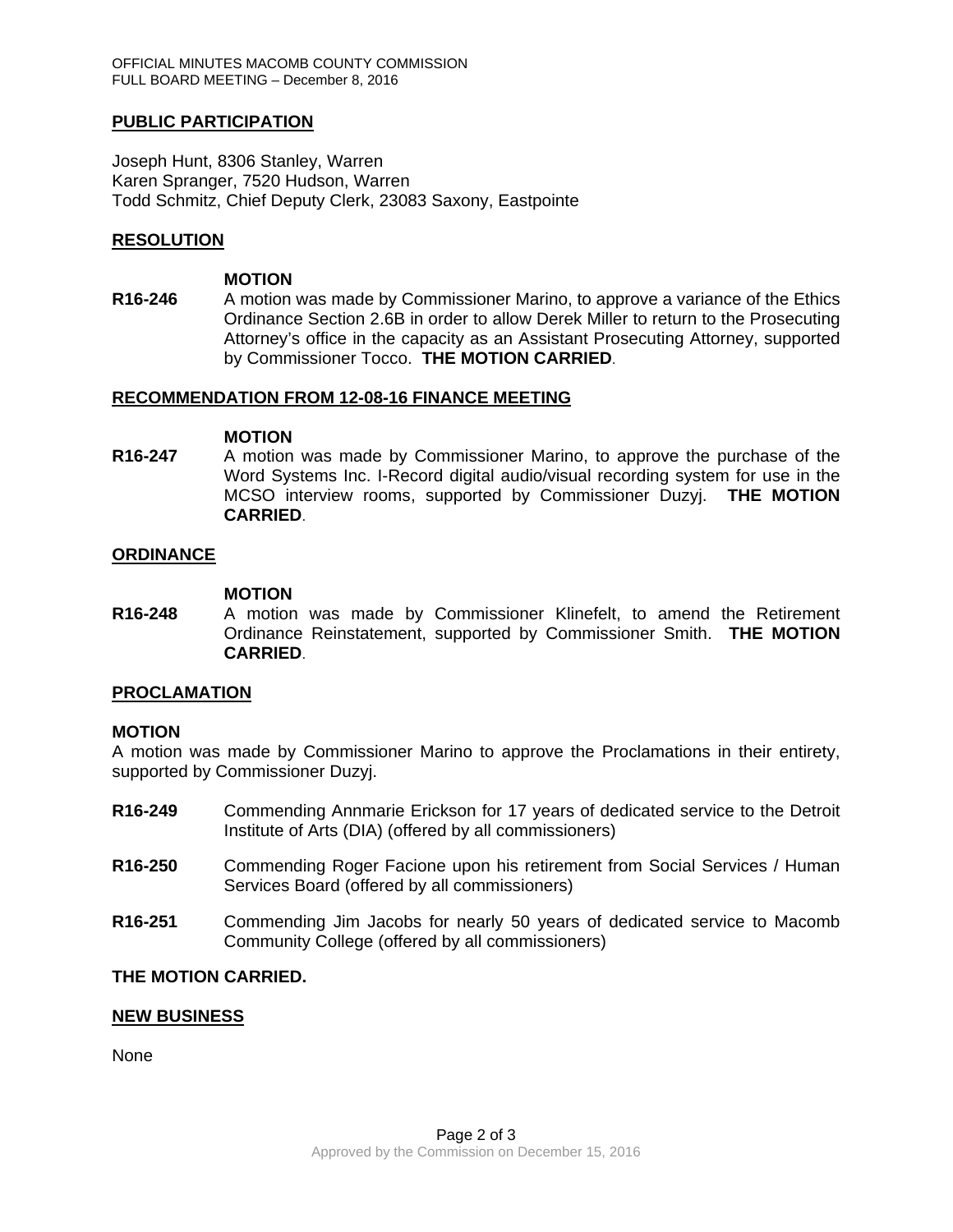## **PUBLIC PARTICIPATION**

Joseph Hunt, 8306 Stanley, Warren Karen Spranger, 7520 Hudson, Warren Todd Schmitz, Chief Deputy Clerk, 23083 Saxony, Eastpointe

### **RESOLUTION**

#### **MOTION**

**R16-246** A motion was made by Commissioner Marino, to approve a variance of the Ethics Ordinance Section 2.6B in order to allow Derek Miller to return to the Prosecuting Attorney's office in the capacity as an Assistant Prosecuting Attorney, supported by Commissioner Tocco. **THE MOTION CARRIED**.

### **RECOMMENDATION FROM 12-08-16 FINANCE MEETING**

#### **MOTION**

**R16-247** A motion was made by Commissioner Marino, to approve the purchase of the Word Systems Inc. I-Record digital audio/visual recording system for use in the MCSO interview rooms, supported by Commissioner Duzyj. **THE MOTION CARRIED**.

### **ORDINANCE**

#### **MOTION**

**R16-248** A motion was made by Commissioner Klinefelt, to amend the Retirement Ordinance Reinstatement, supported by Commissioner Smith. **THE MOTION CARRIED**.

### **PROCLAMATION**

### **MOTION**

A motion was made by Commissioner Marino to approve the Proclamations in their entirety, supported by Commissioner Duzyj.

- **R16-249** Commending Annmarie Erickson for 17 years of dedicated service to the Detroit Institute of Arts (DIA) (offered by all commissioners)
- **R16-250** Commending Roger Facione upon his retirement from Social Services / Human Services Board (offered by all commissioners)
- **R16-251** Commending Jim Jacobs for nearly 50 years of dedicated service to Macomb Community College (offered by all commissioners)

### **THE MOTION CARRIED.**

### **NEW BUSINESS**

None